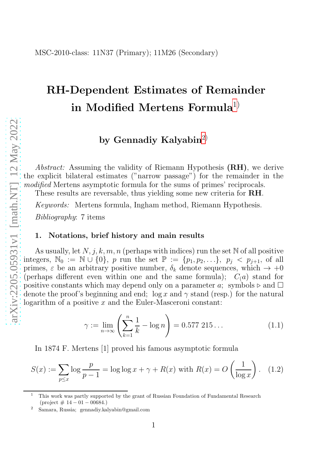# RH-Dependent Estimates of Remainder in Modified Mertens Formula $^{1)}$  $^{1)}$  $^{1)}$

## by Gennadiy Kalyabin<sup>[2\)](#page-0-1)</sup>

Abstract: Assuming the validity of Riemann Hypothesis (RH), we derive the explicit bilateral estimates ("narrow passage") for the remainder in the modified Mertens asymptotic formula for the sums of primes' reciprocals.

These results are reversable, thus yielding some new criteria for RH.

Keywords: Mertens formula, Ingham method, Riemann Hypothesis. Bibliography: 7 items

#### 1. Notations, brief history and main results

As usually, let  $N, j, k, m, n$  (perhaps with indices) run the set N of all positive integers,  $\mathbb{N}_0 := \mathbb{N} \cup \{0\}$ , p run the set  $\mathbb{P} := \{p_1, p_2, ...\}$ ,  $p_j < p_{j+1}$ , of all primes,  $\varepsilon$  be an arbitrary positive number,  $\delta_k$  denote sequences, which  $\rightarrow +0$ (perhaps different even within one and the same formula);  $C(a)$  stand for positive constants which may depend only on a parameter a; symbols ⊳ and  $\Box$ denote the proof's beginning and end;  $\log x$  and  $\gamma$  stand (resp.) for the natural logarithm of a positive  $x$  and the Euler-Masceroni constant:

$$
\gamma := \lim_{n \to \infty} \left( \sum_{k=1}^{n} \frac{1}{k} - \log n \right) = 0.577 \ 215 \dots \tag{1.1}
$$

In 1874 F. Mertens [1] proved his famous asymptotic formula

$$
S(x) := \sum_{p \le x} \log \frac{p}{p-1} = \log \log x + \gamma + R(x) \text{ with } R(x) = O\left(\frac{1}{\log x}\right). \tag{1.2}
$$

<span id="page-0-0"></span><sup>1</sup> This work was partly supported by the grant of Russian Foundation of Fundamental Research  $(project \# 14 - 01 - 00684.)$ 

<span id="page-0-1"></span><sup>2</sup> Samara, Russia; gennadiy.kalyabin@gmail.com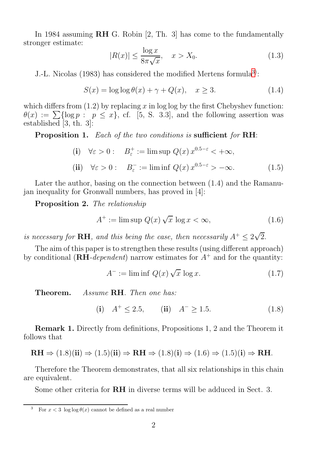In 1984 assuming RH G. Robin [2, Th. 3] has come to the fundamentally stronger estimate:

$$
|R(x)| \le \frac{\log x}{8\pi\sqrt{x}}, \quad x > X_0. \tag{1.3}
$$

J.-L. Nicolas (198[3](#page-1-0)) has considered the modified Mertens formula<sup>3)</sup>:

$$
S(x) = \log \log \theta(x) + \gamma + Q(x), \quad x \ge 3. \tag{1.4}
$$

which differs from  $(1.2)$  by replacing x in log log by the first Chebyshev function:  $\theta(x) := \sum {\log p : p \leq x},$  cf. [5, S. 3.3], and the following assertion was established [3, th. 3]:

Proposition 1. Each of the two conditions is sufficient for RH:

(i) 
$$
\forall \varepsilon > 0
$$
:  $B_{\varepsilon}^{+} := \limsup Q(x) x^{0.5-\varepsilon} < +\infty$ ,  
(ii)  $\forall \varepsilon > 0$ :  $B_{\varepsilon}^{-} := \liminf Q(x) x^{0.5-\varepsilon} > -\infty$ . (1.5)

Later the author, basing on the connection between (1.4) and the Ramanuian inequality for Gronwall numbers, has proved in [4]:

Proposition 2. The relationship

$$
A^{+} := \limsup Q(x) \sqrt{x} \log x < \infty,
$$
 (1.6)

is necessary for **RH**, and this being the case, then necessarily  $A^+ \leq 2\sqrt{2}$ .

The aim of this paper is to strengthen these results (using different approach) by conditional  $(RH-dependent)$  narrow estimates for  $A^+$  and for the quantity:

$$
A^- := \liminf Q(x) \sqrt{x} \log x. \tag{1.7}
$$

Theorem. Assume RH. Then one has:

(i) 
$$
A^+ \le 2.5
$$
, (ii)  $A^- \ge 1.5$ . (1.8)

Remark 1. Directly from definitions, Propositions 1, 2 and the Theorem it follows that

$$
\mathbf{RH} \Rightarrow (1.8)(\mathbf{ii}) \Rightarrow (1.5)(\mathbf{ii}) \Rightarrow \mathbf{RH} \Rightarrow (1.8)(\mathbf{i}) \Rightarrow (1.6) \Rightarrow (1.5)(\mathbf{i}) \Rightarrow \mathbf{RH}.
$$

Therefore the Theorem demonstrates, that all six relationships in this chain are equivalent.

Some other criteria for RH in diverse terms will be adduced in Sect. 3.

<span id="page-1-0"></span><sup>&</sup>lt;sup>3</sup> For  $x < 3 \log \log \theta(x)$  cannot be defined as a real number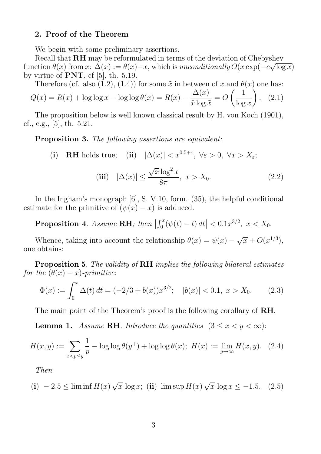#### 2. Proof of the Theorem

We begin with some preliminary assertions.

Recall that RH may be reformulated in terms of the deviation of Chebyshev function  $\theta(x)$  from  $x: \Delta(x) := \theta(x) - x$ , which is unconditionally  $O(x \exp(-c\sqrt{\log x}))$ by virtue of  $PNT$ , cf [5], th. 5.19.

Therefore (cf. also (1.2), (1.4)) for some  $\tilde{x}$  in between of x and  $\theta(x)$  one has:  $\Delta(x)$   $\qquad \qquad$   $(1)$ 

$$
Q(x) = R(x) + \log \log x - \log \log \theta(x) = R(x) - \frac{\Delta(x)}{\tilde{x} \log \tilde{x}} = O\left(\frac{1}{\log x}\right). \tag{2.1}
$$

The proposition below is well known classical result by H. von Koch (1901), cf., e.g., [5], th. 5.21.

Proposition 3. The following assertions are equivalent:

(i) **RH** holds true; (ii)  $|\Delta(x)| < x^{0.5+\varepsilon}$ ,  $\forall \varepsilon > 0$ ,  $\forall x > X_{\varepsilon}$ ;

$$
\text{(iii)} \quad |\Delta(x)| \le \frac{\sqrt{x} \log^2 x}{8\pi}, \ x > X_0. \tag{2.2}
$$

In the Ingham's monograph [6], S. V.10, form. (35), the helpful conditional estimate for the primitive of  $(\psi(x) - x)$  is adduced.

Proposition 4. Assume RH; then  $\vert$  $\left| \int_0^x (\psi(t) - t) dt \right| < 0.1 x^{3/2}, \ x < X_0.$ 

Whence, taking into account the relationship  $\theta(x) = \psi(x) - \sqrt{x} + O(x^{1/3}),$ one obtains:

Proposition 5. The validity of RH implies the following bilateral estimates for the  $(\theta(x) - x)$ -primitive:

$$
\Phi(x) := \int_0^x \Delta(t) dt = (-2/3 + b(x))x^{3/2}; \quad |b(x)| < 0.1, \ x > X_0. \tag{2.3}
$$

The main point of the Theorem's proof is the following corollary of RH.

**Lemma 1.** Assume **RH**. Introduce the quantities  $(3 \leq x < y < \infty)$ :

$$
H(x,y) := \sum_{x < p \le y} \frac{1}{p} - \log \log \theta(y^+) + \log \log \theta(x); \ H(x) := \lim_{y \to \infty} H(x,y). \tag{2.4}
$$

Then:

(i) 
$$
-2.5 \le \liminf H(x) \sqrt{x} \log x
$$
; (ii)  $\limsup H(x) \sqrt{x} \log x \le -1.5$ . (2.5)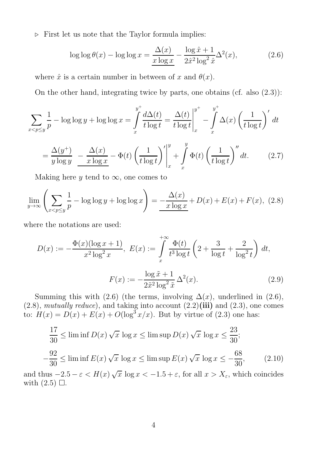⊲ First let us note that the Taylor formula implies:

$$
\log \log \theta(x) - \log \log x = \frac{\Delta(x)}{x \log x} - \frac{\log \hat{x} + 1}{2\hat{x}^2 \log^2 \hat{x}} \Delta^2(x),\tag{2.6}
$$

where  $\hat{x}$  is a certain number in between of x and  $\theta(x)$ .

On the other hand, integrating twice by parts, one obtains (cf. also (2.3)):

$$
\sum_{x < p \le y} \frac{1}{p} - \log \log y + \log \log x = \int_{x}^{y^{+}} \frac{d\Delta(t)}{t \log t} = \frac{\Delta(t)}{t \log t} \Big|_{x}^{y^{+}} - \int_{x}^{y^{+}} \Delta(x) \left(\frac{1}{t \log t}\right)' dt
$$

$$
= \frac{\Delta(y^{+})}{y \log y} - \frac{\Delta(x)}{x \log x} - \Phi(t) \left(\frac{1}{t \log t}\right)'\bigg|_{x}^{y} + \int_{x}^{y} \Phi(t) \left(\frac{1}{t \log t}\right)'' dt. \tag{2.7}
$$

Making here y tend to  $\infty$ , one comes to

$$
\lim_{y \to \infty} \left( \sum_{x < p \le y} \frac{1}{p} - \log \log y + \log \log x \right) = -\frac{\Delta(x)}{x \log x} + D(x) + E(x) + F(x), \tag{2.8}
$$

where the notations are used:

$$
D(x) := -\frac{\Phi(x)(\log x + 1)}{x^2 \log^2 x}, \ E(x) := \int_{x}^{+\infty} \frac{\Phi(t)}{t^3 \log t} \left(2 + \frac{3}{\log t} + \frac{2}{\log^2 t}\right) dt,
$$

$$
F(x) := -\frac{\log \tilde{x} + 1}{2\tilde{x}^2 \log^2 \tilde{x}} \Delta^2(x). \tag{2.9}
$$

Summing this with (2.6) (the terms, involving  $\Delta(x)$ , underlined in (2.6),  $(2.8)$ , mutually reduce), and taking into account  $(2.2)(iii)$  and  $(2.3)$ , one comes to:  $H(x) = D(x) + E(x) + O(\log^3 x/x)$ . But by virtue of (2.3) one has:

$$
\frac{17}{30} \le \liminf D(x) \sqrt{x} \log x \le \limsup D(x) \sqrt{x} \log x \le \frac{23}{30};
$$
  

$$
-\frac{92}{30} \le \liminf E(x) \sqrt{x} \log x \le \limsup E(x) \sqrt{x} \log x \le -\frac{68}{30},
$$
 (2.10)

and thus  $-2.5 - \varepsilon < H(x) \sqrt{x} \log x < -1.5 + \varepsilon$ , for all  $x > X_{\varepsilon}$ , which coincides with  $(2.5)$   $\Box$ .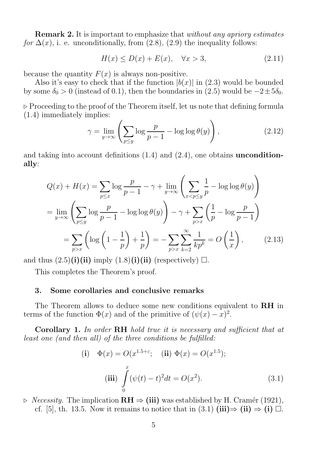Remark 2. It is important to emphasize that without any apriory estimates for  $\Delta(x)$ , i. e. unconditionally, from (2.8), (2.9) the inequality follows:

$$
H(x) \le D(x) + E(x), \quad \forall x > 3,
$$
\n
$$
(2.11)
$$

because the quantity  $F(x)$  is always non-positive.

Also it's easy to check that if the function  $|b(x)|$  in (2.3) would be bounded by some  $\delta_0 > 0$  (instead of 0.1), then the boundaries in (2.5) would be  $-2 \pm 5\delta_0$ .

⊲ Proceeding to the proof of the Theorem itself, let us note that defining formula (1.4) immediately implies:

$$
\gamma = \lim_{y \to \infty} \left( \sum_{p \le y} \log \frac{p}{p-1} - \log \log \theta(y) \right), \tag{2.12}
$$

and taking into account definitions  $(1.4)$  and  $(2.4)$ , one obtains **uncondition**ally:

$$
Q(x) + H(x) = \sum_{p \le x} \log \frac{p}{p-1} - \gamma + \lim_{y \to \infty} \left( \sum_{x < p \le y} \frac{1}{p} - \log \log \theta(y) \right)
$$
\n
$$
= \lim_{y \to \infty} \left( \sum_{p \le y} \log \frac{p}{p-1} - \log \log \theta(y) \right) - \gamma + \sum_{p > x} \left( \frac{1}{p} - \log \frac{p}{p-1} \right)
$$
\n
$$
= \sum_{p > x} \left( \log \left( 1 - \frac{1}{p} \right) + \frac{1}{p} \right) = - \sum_{p > x} \sum_{k=2}^{\infty} \frac{1}{kp^k} = O\left(\frac{1}{x}\right),\tag{2.13}
$$

and thus  $(2.5)(i)(ii)$  imply  $(1.8)(i)(ii)$  (respectively)  $\Box$ .

This completes the Theorem's proof.

#### 3. Some corollaries and conclusive remarks

The Theorem allows to deduce some new conditions equivalent to RH in terms of the function  $\Phi(x)$  and of the primitive of  $(\psi(x) - x)^2$ .

Corollary 1. In order RH hold true it is necessary and sufficient that at least one (and then all) of the three conditions be fulfilled:

(i) 
$$
\Phi(x) = O(x^{1.5+\epsilon};
$$
 (ii)  $\Phi(x) = O(x^{1.5});$   
\n(iii)  $\int_{0}^{x} (\psi(t) - t)^2 dt = O(x^2).$  (3.1)

 $\triangleright$  *Necessity.* The implication  $\mathbf{RH} \Rightarrow$  (iii) was established by H. Cramér (1921), cf. [5], th. 13.5. Now it remains to notice that in (3.1)  $(iii) \Rightarrow (ii) \Rightarrow (i) \Box$ .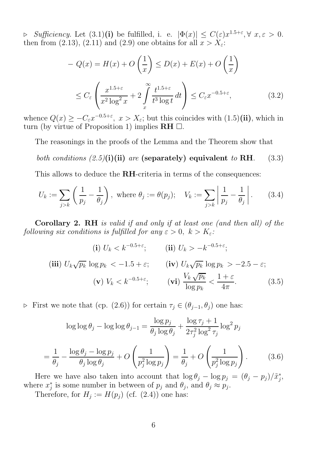$\Rightarrow$  Sufficiency. Let  $(3.1)(i)$  be fulfilled, i. e.  $|\Phi(x)| \leq C(\varepsilon)x^{1.5+\varepsilon}, \forall x, \varepsilon > 0.$ then from (2.13), (2.11) and (2.9) one obtains for all  $\overline{x} > X_{\varepsilon}$ .

$$
-Q(x) = H(x) + O\left(\frac{1}{x}\right) \le D(x) + E(x) + O\left(\frac{1}{x}\right)
$$
  

$$
\le C_{\varepsilon} \left(\frac{x^{1.5+\varepsilon}}{x^2 \log^2 x} + 2 \int\limits_x^{\infty} \frac{t^{1.5+\varepsilon}}{t^3 \log t} dt\right) \le C_{\varepsilon} x^{-0.5+\varepsilon}, \tag{3.2}
$$

whence  $Q(x) \geq -C_{\varepsilon}x^{-0.5+\varepsilon}$ ,  $x > X_{\varepsilon}$ ; but this coincides with  $(1.5)(ii)$ , which in turn (by virtue of Proposition 1) implies  $\mathbf{R} \mathbf{H} \square$ .

The reasonings in the proofs of the Lemma and the Theorem show that

### both conditions  $(2.5)(i)(ii)$  are (separately) equivalent to RH. (3.3)

This allows to deduce the RH-criteria in terms of the consequences:

$$
U_k := \sum_{j>k} \left( \frac{1}{p_j} - \frac{1}{\theta_j} \right), \text{ where } \theta_j := \theta(p_j); \quad V_k := \sum_{j>k} \left| \frac{1}{p_j} - \frac{1}{\theta_j} \right|.
$$
 (3.4)

Corollary 2. RH is valid if and only if at least one (and then all) of the following six conditions is fulfilled for any  $\varepsilon > 0$ ,  $k > K_{\varepsilon}$ :

$$
\textbf{(i)}\ U_k < k^{-0.5+\varepsilon}; \qquad \textbf{(ii)}\ U_k > -k^{-0.5+\varepsilon};
$$
\n
$$
\textbf{(iii)}\ U_k \sqrt{p_k} \log p_k < -1.5+\varepsilon; \qquad \textbf{(iv)}\ U_k \sqrt{p_k} \log p_k > -2.5-\varepsilon; \qquad \textbf{(v)}\ V_k < k^{-0.5+\varepsilon}; \qquad \textbf{(vi)}\ \frac{V_k \sqrt{p_k}}{\log p_k} < \frac{1+\varepsilon}{4\pi}. \qquad (3.5)
$$

► First we note that (cp. (2.6)) for certain  $τ_j ∈ (θ_{j-1}, θ_j)$  one has:

$$
\log \log \theta_j - \log \log \theta_{j-1} = \frac{\log p_j}{\theta_j \log \theta_j} + \frac{\log \tau_j + 1}{2\tau_j^2 \log^2 \tau_j} \log^2 p_j
$$

$$
= \frac{1}{\theta_j} - \frac{\log \theta_j - \log p_j}{\theta_j \log \theta_j} + O\left(\frac{1}{p_j^2 \log p_j}\right) = \frac{1}{\theta_j} + O\left(\frac{1}{p_j^2 \log p_j}\right). \tag{3.6}
$$

Here we have also taken into account that  $\log \theta_j - \log p_j = (\theta_j - p_j)/\tilde{x}_j^*$ , where  $x_j^*$  is some number in between of  $p_j$  and  $\theta_j$ , and  $\theta_j \approx p_j$ .

Therefore, for  $H_j := H(p_j)$  (cf. (2.4)) one has: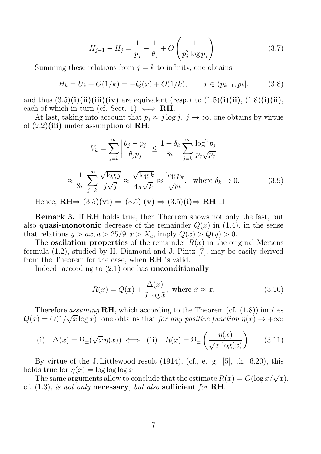$$
H_{j-1} - H_j = \frac{1}{p_j} - \frac{1}{\theta_j} + O\left(\frac{1}{p_j^2 \log p_j}\right). \tag{3.7}
$$

Summing these relations from  $j = k$  to infinity, one obtains

$$
H_k = U_k + O(1/k) = -Q(x) + O(1/k), \qquad x \in (p_{k-1}, p_k]. \tag{3.8}
$$

and thus  $(3.5)(i)(ii)(iii)(iv)$  are equivalent (resp.) to  $(1.5)(i)(ii), (1.8)(i)(ii),$ each of which in turn (cf. Sect. 1)  $\iff \textbf{R}$ H.

At last, taking into account that  $p_j \approx j \log j$ ,  $j \to \infty$ , one obtains by virtue of  $(2.2)$ (iii) under assumption of RH:

$$
V_k = \sum_{j=k}^{\infty} \left| \frac{\theta_j - p_j}{\theta_j p_j} \right| \le \frac{1 + \delta_k}{8\pi} \sum_{j=k}^{\infty} \frac{\log^2 p_j}{p_j \sqrt{p_j}}
$$

$$
\approx \frac{1}{8\pi} \sum_{j=k}^{\infty} \frac{\sqrt{\log j}}{j\sqrt{j}} \approx \frac{\sqrt{\log k}}{4\pi \sqrt{k}} \approx \frac{\log p_k}{\sqrt{p_k}}, \text{ where } \delta_k \to 0. \tag{3.9}
$$

Hence,  $\text{RH}\Rightarrow (3.5)(\text{vi}) \Rightarrow (3.5)(\text{v}) \Rightarrow (3.5)(\text{i}) \Rightarrow \text{RH} \square$ 

Remark 3. If RH holds true, then Theorem shows not only the fast, but also **quasi-monotonic** decrease of the remainder  $Q(x)$  in (1.4), in the sense that relations  $y > ax$ ,  $a > 25/9$ ,  $x > X_a$ , imply  $Q(x) > Q(y) > 0$ .

The **oscilation properties** of the remainder  $R(x)$  in the original Mertens formula (1.2), studied by H. Diamond and J. Pintz [7], may be easily derived from the Theorem for the case, when RH is valid.

Indeed, according to (2.1) one has unconditionally:

$$
R(x) = Q(x) + \frac{\Delta(x)}{\tilde{x}\log\tilde{x}}, \text{ where } \tilde{x} \approx x. \tag{3.10}
$$

Therefore assuming  $\mathbf{R}$ , which according to the Theorem (cf.  $(1.8)$ ) implies  $Q(x) = O(1/\sqrt{x}\log x)$ , one obtains that *for any positive function*  $\eta(x) \to +\infty$ :

(i) 
$$
\Delta(x) = \Omega_{\pm}(\sqrt{x}\,\eta(x)) \iff
$$
 (ii)  $R(x) = \Omega_{\pm}\left(\frac{\eta(x)}{\sqrt{x}\,\log(x)}\right)$  (3.11)

By virtue of the J. Littlewood result (1914), (cf., e. g. [5], th. 6.20), this holds true for  $\eta(x) = \log \log \log x$ .

The same arguments allow to conclude that the estimate  $R(x) = O(\log x/\sqrt{x}),$ cf.  $(1.3)$ , is not only necessary, but also sufficient for RH.